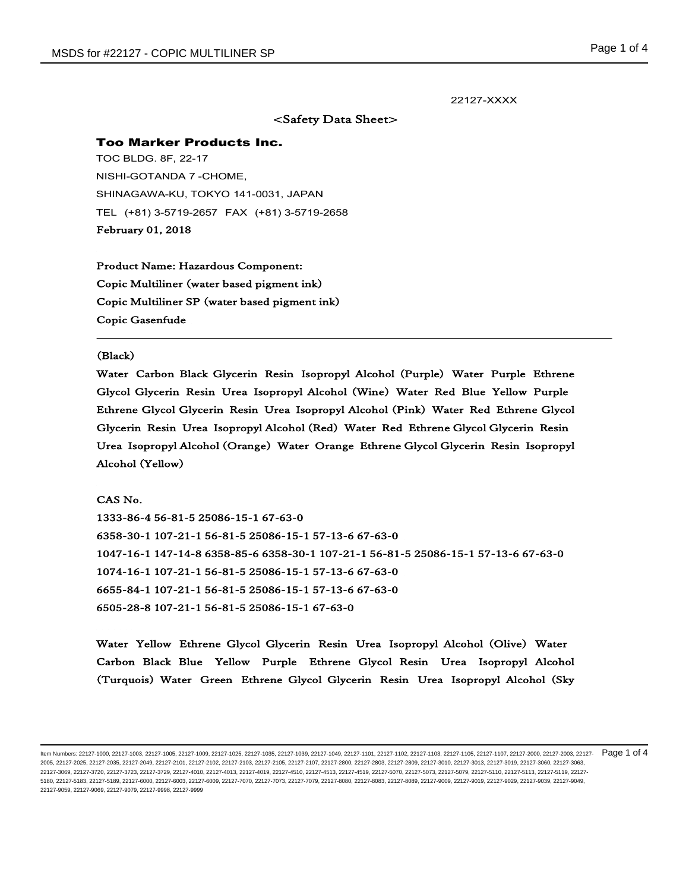l,

## 22127-XXXX

# <Safety Data Sheet>

### Too Marker Products Inc.

TOC BLDG. 8F, 22-17 NISHI-GOTANDA 7 -CHOME, SHINAGAWA-KU, TOKYO 141-0031, JAPAN TEL (+81) 3-5719-2657 FAX (+81) 3-5719-2658 February 01, 2018

Product Name: Hazardous Component: Copic Multiliner (water based pigment ink) Copic Multiliner SP (water based pigment ink) Copic Gasenfude

#### (Black)

Water Carbon Black Glycerin Resin Isopropyl Alcohol (Purple) Water Purple Ethrene Glycol Glycerin Resin Urea Isopropyl Alcohol (Wine) Water Red Blue Yellow Purple Ethrene Glycol Glycerin Resin Urea Isopropyl Alcohol (Pink) Water Red Ethrene Glycol Glycerin Resin Urea Isopropyl Alcohol (Red) Water Red Ethrene Glycol Glycerin Resin Urea Isopropyl Alcohol (Orange) Water Orange Ethrene Glycol Glycerin Resin Isopropyl Alcohol (Yellow)

CAS No. 1333-86-4 56-81-5 25086-15-1 67-63-0 6358-30-1 107-21-1 56-81-5 25086-15-1 57-13-6 67-63-0 1047-16-1 147-14-8 6358-85-6 6358-30-1 107-21-1 56-81-5 25086-15-1 57-13-6 67-63-0 1074-16-1 107-21-1 56-81-5 25086-15-1 57-13-6 67-63-0 6655-84-1 107-21-1 56-81-5 25086-15-1 57-13-6 67-63-0 6505-28-8 107-21-1 56-81-5 25086-15-1 67-63-0

Water Yellow Ethrene Glycol Glycerin Resin Urea Isopropyl Alcohol (Olive) Water Carbon Black Blue Yellow Purple Ethrene Glycol Resin Urea Isopropyl Alcohol (Turquois) Water Green Ethrene Glycol Glycerin Resin Urea Isopropyl Alcohol (Sky

ltem Numbers: 22127-1000, 22127-1003, 22127-1005, 22127-1009, 22127-1025, 22127-1035, 22127-1039, 22127-1101, 22127-1101, 22127-1103, 22127-1103, 22127-1107, 22127-1107, 22127-1100, 22127-2000, 22127-2000, 22127-2000, 2212 2005, 22127-2025, 22127-2035, 22127-2049, 22127-2101, 22127-2102, 22127-2103, 22127-2105, 22127-2107, 22127-2800, 22127-2803, 22127-2809, 22127-3010, 22127-3013, 22127-3019, 22127-3060, 22127-3063, 22127-3069, 22127-3720, 22127-3723, 22127-3729, 22127-4010, 22127-4013, 22127-4019, 22127-4510, 22127-4513, 22127-4519, 22127-5070, 22127-5073, 22127-5079, 22127-5110, 22127-5113, 22127-5119, 22127- 5180, 22127-5183, 22127-5189, 22127-6000, 22127-6003, 22127-6009, 22127-7070, 22127-7073, 22127-7079, 22127-7079, 22127-8080, 22127-8083, 22127-8089, 22127-9009, 22127-9019, 22127-9029, 22127-9039, 22127-9039, 22127-9049, 22127-9059, 22127-9069, 22127-9079, 22127-9998, 22127-9999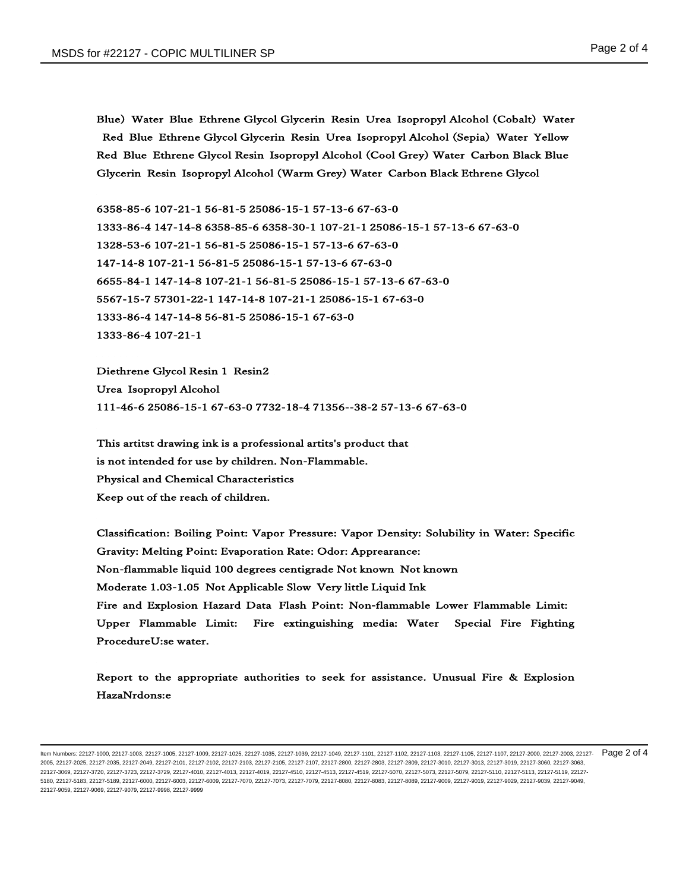Blue) Water Blue Ethrene Glycol Glycerin Resin Urea Isopropyl Alcohol (Cobalt) Water Red Blue Ethrene Glycol Glycerin Resin Urea Isopropyl Alcohol (Sepia) Water Yellow Red Blue Ethrene Glycol Resin Isopropyl Alcohol (Cool Grey) Water Carbon Black Blue Glycerin Resin Isopropyl Alcohol (Warm Grey) Water Carbon Black Ethrene Glycol

6358-85-6 107-21-1 56-81-5 25086-15-1 57-13-6 67-63-0 1333-86-4 147-14-8 6358-85-6 6358-30-1 107-21-1 25086-15-1 57-13-6 67-63-0 1328-53-6 107-21-1 56-81-5 25086-15-1 57-13-6 67-63-0 147-14-8 107-21-1 56-81-5 25086-15-1 57-13-6 67-63-0 6655-84-1 147-14-8 107-21-1 56-81-5 25086-15-1 57-13-6 67-63-0 5567-15-7 57301-22-1 147-14-8 107-21-1 25086-15-1 67-63-0 1333-86-4 147-14-8 56-81-5 25086-15-1 67-63-0 1333-86-4 107-21-1

Diethrene Glycol Resin 1 Resin2 Urea Isopropyl Alcohol 111-46-6 25086-15-1 67-63-0 7732-18-4 71356--38-2 57-13-6 67-63-0

This artitst drawing ink is a professional artits's product that is not intended for use by children. Non-Flammable. Physical and Chemical Characteristics Keep out of the reach of children.

Classification: Boiling Point: Vapor Pressure: Vapor Density: Solubility in Water: Specific Gravity: Melting Point: Evaporation Rate: Odor: Apprearance: Non-flammable liquid 100 degrees centigrade Not known Not known Moderate 1.03-1.05 Not Applicable Slow Very little Liquid Ink Fire and Explosion Hazard Data Flash Point: Non-flammable Lower Flammable Limit: Upper Flammable Limit: Fire extinguishing media: Water Special Fire Fighting ProcedureU:se water.

Report to the appropriate authorities to seek for assistance. Unusual Fire & Explosion HazaNrdons:e

ltem Numbers: 22127-1000, 22127-1003, 22127-1005, 22127-1009, 22127-1025, 22127-1035, 22127-1039, 22127-1101, 22127-1101, 22127-1103, 22127-1103, 22127-1107, 22127-1107, 22127-1100, 22127-2000, 22127-2000, 22127-2000, 2212 2005, 22127-2025, 22127-2035, 22127-2049, 22127-2101, 22127-2102, 22127-2103, 22127-2105, 22127-2107, 22127-2800, 22127-2803, 22127-2809, 22127-3010, 22127-3013, 22127-3019, 22127-3060, 22127-3063, 22127-3069, 22127-3720, 22127-3723, 22127-3729, 22127-4010, 22127-4013, 22127-4019, 22127-4510, 22127-4513, 22127-4519, 22127-5070, 22127-5073, 22127-5079, 22127-5110, 22127-5113, 22127-5119, 22127- 5180, 22127-5183, 22127-5189, 22127-6000, 22127-6003, 22127-6009, 22127-7070, 22127-7073, 22127-7079, 22127-7079, 22127-8080, 22127-8083, 22127-8089, 22127-9009, 22127-9019, 22127-9029, 22127-9039, 22127-9039, 22127-9049, 22127-9059, 22127-9069, 22127-9079, 22127-9998, 22127-9999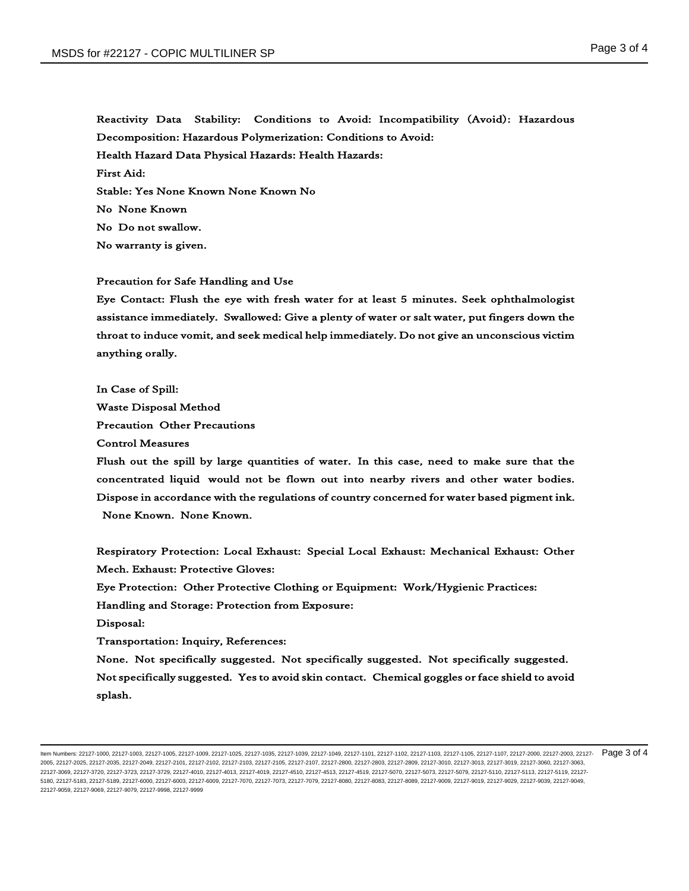Reactivity Data Stability: Conditions to Avoid: Incompatibility (Avoid): Hazardous Decomposition: Hazardous Polymerization: Conditions to Avoid: Health Hazard Data Physical Hazards: Health Hazards: First Aid: Stable: Yes None Known None Known No No None Known No Do not swallow. No warranty is given.

### Precaution for Safe Handling and Use

Eye Contact: Flush the eye with fresh water for at least 5 minutes. Seek ophthalmologist assistance immediately. Swallowed: Give a plenty of water or salt water, put fingers down the throat to induce vomit, and seek medical help immediately. Do not give an unconscious victim anything orally.

In Case of Spill: Waste Disposal Method Precaution Other Precautions Control Measures

Flush out the spill by large quantities of water. In this case, need to make sure that the concentrated liquid would not be flown out into nearby rivers and other water bodies. Dispose in accordance with the regulations of country concerned for water based pigment ink. None Known. None Known.

Respiratory Protection: Local Exhaust: Special Local Exhaust: Mechanical Exhaust: Other Mech. Exhaust: Protective Gloves:

Eye Protection: Other Protective Clothing or Equipment: Work/Hygienic Practices:

Handling and Storage: Protection from Exposure:

Disposal:

Transportation: Inquiry, References:

None. Not specifically suggested. Not specifically suggested. Not specifically suggested. Not specifically suggested. Yes to avoid skin contact. Chemical goggles or face shield to avoid splash.

ltem Numbers: 22127-1000, 22127-1003, 22127-1005, 22127-1009, 22127-1025, 22127-1035, 22127-1039, 22127-1101, 22127-1101, 22127-1103, 22127-1103, 22127-1107, 22127-1107, 22127-1100, 22127-2000, 22127-2003, 22127-2003, 2212 2005, 22127-2025, 22127-2035, 22127-2049, 22127-2101, 22127-2102, 22127-2103, 22127-2105, 22127-2107, 22127-2800, 22127-2803, 22127-2809, 22127-3010, 22127-3013, 22127-3019, 22127-3060, 22127-3063, 22127-3069, 22127-3720, 22127-3723, 22127-3729, 22127-4010, 22127-4013, 22127-4019, 22127-4510, 22127-4513, 22127-4519, 22127-5070, 22127-5073, 22127-5079, 22127-5110, 22127-5113, 22127-5119, 22127- 5180, 22127-5183, 22127-5189, 22127-6000, 22127-6003, 22127-6009, 22127-7070, 22127-7073, 22127-7079, 22127-7079, 22127-8080, 22127-8083, 22127-8089, 22127-9009, 22127-9019, 22127-9029, 22127-9039, 22127-9039, 22127-9049, 22127-9059, 22127-9069, 22127-9079, 22127-9998, 22127-9999